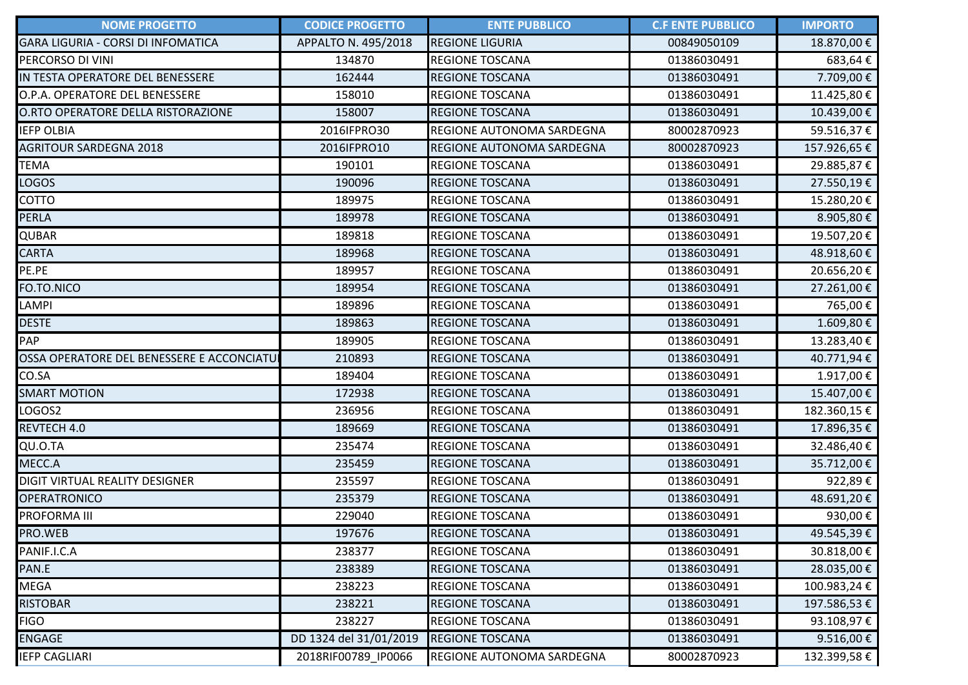| <b>NOME PROGETTO</b>                       | <b>CODICE PROGETTO</b> | <b>ENTE PUBBLICO</b>      | <b>C.F ENTE PUBBLICO</b> | <b>IMPORTO</b> |
|--------------------------------------------|------------------------|---------------------------|--------------------------|----------------|
| GARA LIGURIA - CORSI DI INFOMATICA         | APPALTO N. 495/2018    | <b>REGIONE LIGURIA</b>    | 00849050109              | 18.870,00 €    |
| PERCORSO DI VINI                           | 134870                 | <b>REGIONE TOSCANA</b>    | 01386030491              | 683,64€        |
| IN TESTA OPERATORE DEL BENESSERE           | 162444                 | <b>REGIONE TOSCANA</b>    | 01386030491              | 7.709,00 €     |
| O.P.A. OPERATORE DEL BENESSERE             | 158010                 | <b>REGIONE TOSCANA</b>    | 01386030491              | 11.425,80€     |
| O.RTO OPERATORE DELLA RISTORAZIONE         | 158007                 | <b>REGIONE TOSCANA</b>    | 01386030491              | 10.439,00 €    |
| <b>IEFP OLBIA</b>                          | 2016IFPRO30            | REGIONE AUTONOMA SARDEGNA | 80002870923              | 59.516,37€     |
| <b>AGRITOUR SARDEGNA 2018</b>              | 2016IFPRO10            | REGIONE AUTONOMA SARDEGNA | 80002870923              | 157.926,65€    |
| <b>TEMA</b>                                | 190101                 | <b>REGIONE TOSCANA</b>    | 01386030491              | 29.885,87€     |
| <b>LOGOS</b>                               | 190096                 | <b>REGIONE TOSCANA</b>    | 01386030491              | 27.550,19€     |
| COTTO                                      | 189975                 | <b>REGIONE TOSCANA</b>    | 01386030491              | 15.280,20€     |
| PERLA                                      | 189978                 | <b>REGIONE TOSCANA</b>    | 01386030491              | 8.905,80€      |
| QUBAR                                      | 189818                 | <b>REGIONE TOSCANA</b>    | 01386030491              | 19.507,20€     |
| <b>CARTA</b>                               | 189968                 | <b>REGIONE TOSCANA</b>    | 01386030491              | 48.918,60€     |
| PE.PE                                      | 189957                 | <b>REGIONE TOSCANA</b>    | 01386030491              | 20.656,20€     |
| FO.TO.NICO                                 | 189954                 | <b>REGIONE TOSCANA</b>    | 01386030491              | 27.261,00€     |
| LAMPI                                      | 189896                 | <b>REGIONE TOSCANA</b>    | 01386030491              | 765,00€        |
| <b>DESTE</b>                               | 189863                 | <b>REGIONE TOSCANA</b>    | 01386030491              | 1.609,80€      |
| PAP                                        | 189905                 | <b>REGIONE TOSCANA</b>    | 01386030491              | 13.283,40€     |
| OSSA OPERATORE DEL BENESSERE E ACCONCIATUI | 210893                 | <b>REGIONE TOSCANA</b>    | 01386030491              | 40.771,94€     |
| CO.SA                                      | 189404                 | <b>REGIONE TOSCANA</b>    | 01386030491              | 1.917,00€      |
| <b>SMART MOTION</b>                        | 172938                 | <b>REGIONE TOSCANA</b>    | 01386030491              | 15.407,00 €    |
| LOGOS2                                     | 236956                 | <b>REGIONE TOSCANA</b>    | 01386030491              | 182.360,15€    |
| REVTECH 4.0                                | 189669                 | <b>REGIONE TOSCANA</b>    | 01386030491              | 17.896,35 €    |
| QU.O.TA                                    | 235474                 | <b>REGIONE TOSCANA</b>    | 01386030491              | 32.486,40€     |
| MECCA                                      | 235459                 | <b>REGIONE TOSCANA</b>    | 01386030491              | 35.712,00 €    |
| DIGIT VIRTUAL REALITY DESIGNER             | 235597                 | <b>REGIONE TOSCANA</b>    | 01386030491              | 922,89€        |
| <b>OPERATRONICO</b>                        | 235379                 | <b>REGIONE TOSCANA</b>    | 01386030491              | 48.691,20€     |
| PROFORMA III                               | 229040                 | <b>REGIONE TOSCANA</b>    | 01386030491              | 930,00€        |
| PRO.WEB                                    | 197676                 | <b>REGIONE TOSCANA</b>    | 01386030491              | 49.545,39€     |
| PANIF.I.C.A                                | 238377                 | <b>REGIONE TOSCANA</b>    | 01386030491              | 30.818,00 €    |
| PAN.E                                      | 238389                 | <b>REGIONE TOSCANA</b>    | 01386030491              | 28.035,00 €    |
| MEGA                                       | 238223                 | <b>REGIONE TOSCANA</b>    | 01386030491              | 100.983,24€    |
| <b>RISTOBAR</b>                            | 238221                 | <b>REGIONE TOSCANA</b>    | 01386030491              | 197.586,53€    |
| <b>FIGO</b>                                | 238227                 | REGIONE TOSCANA           | 01386030491              | 93.108,97€     |
| ENGAGE                                     | DD 1324 del 31/01/2019 | <b>REGIONE TOSCANA</b>    | 01386030491              | 9.516,00 €     |
| <b>IEFP CAGLIARI</b>                       | 2018RIF00789_IP0066    | REGIONE AUTONOMA SARDEGNA | 80002870923              | 132.399,58€    |